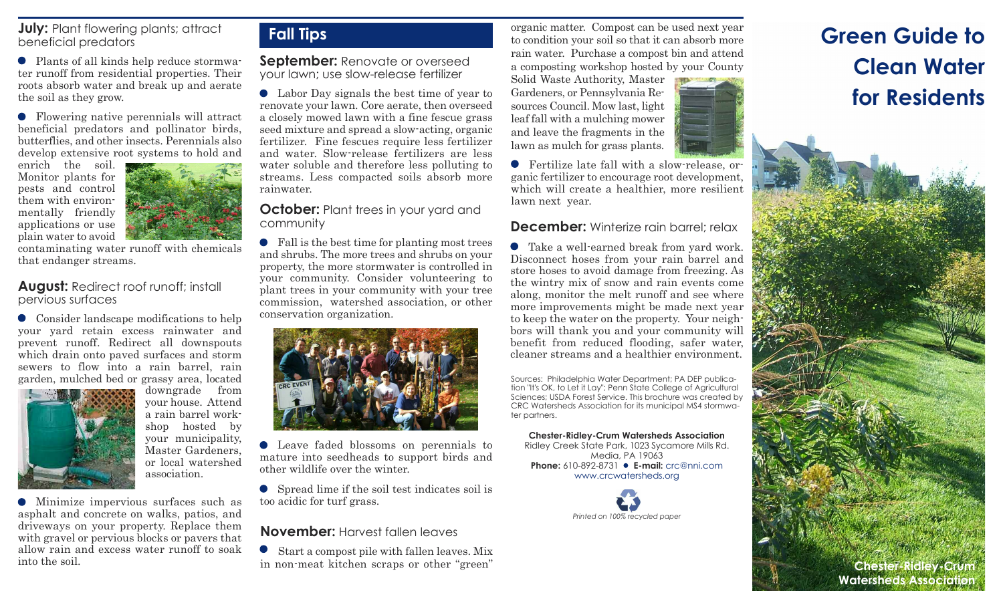#### **July:** Plant flowering plants; attract beneficial predators

Plants of all kinds help reduce stormwater runoff from residential properties. Their roots absorb water and break up and aerate the soil as they grow.

Flowering native perennials will attract beneficial predators and pollinator birds, butterflies, and other insects. Perennials also develop extensive root systems to hold and

enrich the soil. Monitor plants for pests and control them with environmentally friendly applications or use plain water to avoid



contaminating water runoff with chemicals that endanger streams.

#### **August:** Redirect roof runoff; install pervious surfaces

Consider landscape modifications to help your yard retain excess rainwater and prevent runoff. Redirect all downspouts which drain onto paved surfaces and storm sewers to flow into a rain barrel, rain garden, mulched bed or grassy area, located



downgrade from your house. Attend a rain barrel workshop hosted by your municipality, Master Gardeners, or local watershed association.

Minimize impervious surfaces such as asphalt and concrete on walks, patios, and driveways on your property. Replace them with gravel or pervious blocks or pavers that allow rain and excess water runoff to soak into the soil.

## **Fall Tips**

**September:** Renovate or overseed your lawn; use slow-release fertilizer

Labor Day signals the best time of year to renovate your lawn. Core aerate, then overseed a closely mowed lawn with a fine fescue grass seed mixture and spread a slow-acting, organic fertilizer. Fine fescues require less fertilizer and water. Slow-release fertilizers are less water soluble and therefore less polluting to streams. Less compacted soils absorb more rainwater.

## **October:** Plant trees in your yard and community

Fall is the best time for planting most trees and shrubs. The more trees and shrubs on your property, the more stormwater is controlled in your community. Consider volunteering to plant trees in your community with your tree commission, watershed association, or other conservation organization.



Leave faded blossoms on perennials to mature into seedheads to support birds and other wildlife over the winter.

Spread lime if the soil test indicates soil is too acidic for turf grass.

## **November:** Harvest fallen leaves

Start a compost pile with fallen leaves. Mix in non-meat kitchen scraps or other "green"

organic matter. Compost can be used next year to condition your soil so that it can absorb more rain water. Purchase a compost bin and attend a composting workshop hosted by your County

Solid Waste Authority, Master Gardeners, or Pennsylvania Resources Council. Mow last, light leaf fall with a mulching mower and leave the fragments in the lawn as mulch for grass plants.

Fertilize late fall with a slow-release, organic fertilizer to encourage root development, which will create a healthier, more resilient lawn next year.

## **December:** Winterize rain barrel: relax

Take a well-earned break from yard work. Disconnect hoses from your rain barrel and store hoses to avoid damage from freezing. As the wintry mix of snow and rain events come along, monitor the melt runoff and see where more improvements might be made next year to keep the water on the property. Your neighbors will thank you and your community will benefit from reduced flooding, safer water, cleaner streams and a healthier environment.

Sources: Philadelphia Water Department; PA DEP publication "It's OK, to Let it Lay"; Penn State College of Agricultural Sciences; USDA Forest Service. This brochure was created by CRC Watersheds Association for its municipal MS4 stormwater partners.

**Chester-Ridley-Crum Watersheds Association** Ridley Creek State Park, 1023 Sycamore Mills Rd. Media, PA 19063 **Phone:** 610-892-8731 **● E-mail:** crc@nni.com www.crcwatersheds.org



# **Green Guide to Clean Water for Residents**